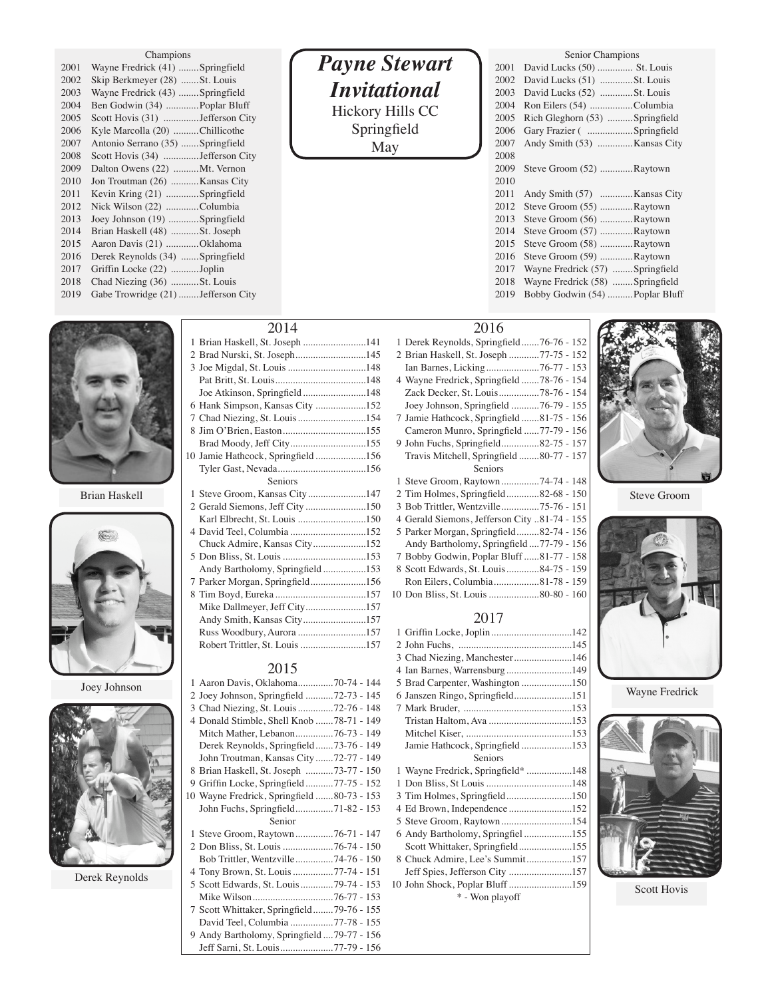| Champions |
|-----------|
|           |
|           |

| 2001 | Wayne Fredrick (41) Springfield     |  |
|------|-------------------------------------|--|
| 2002 | Skip Berkmeyer (28) St. Louis       |  |
| 2003 | Wayne Fredrick (43) Springfield     |  |
| 2004 | Ben Godwin (34)  Poplar Bluff       |  |
| 2005 | Scott Hovis (31) Jefferson City     |  |
| 2006 | Kyle Marcolla (20) Chillicothe      |  |
| 2007 | Antonio Serrano (35) Springfield    |  |
| 2008 | Scott Hovis (34) Jefferson City     |  |
| 2009 | Dalton Owens (22) Mt. Vernon        |  |
| 2010 | Jon Troutman (26)  Kansas City      |  |
| 2011 | Kevin Kring (21) Springfield        |  |
| 2012 | Nick Wilson (22) Columbia           |  |
| 2013 | Joey Johnson (19) Springfield       |  |
| 2014 | Brian Haskell (48) St. Joseph       |  |
| 2015 | Aaron Davis (21) Oklahoma           |  |
| 2016 | Derek Reynolds (34)  Springfield    |  |
| 2017 | Griffin Locke (22) Joplin           |  |
| 2018 | Chad Niezing (36) St. Louis         |  |
| 2019 | Gabe Trowridge (21)  Jefferson City |  |





Derek Reynolds

# *Payne Stewart Invitational* Hickory Hills CC Springfield May

|      | Senior Champions                 |  |  |
|------|----------------------------------|--|--|
| 2001 | David Lucks (50)  St. Louis      |  |  |
| 2002 | David Lucks (51) St. Louis       |  |  |
| 2003 | David Lucks (52) St. Louis       |  |  |
| 2004 | Ron Eilers (54) Columbia         |  |  |
| 2005 | Rich Gleghorn (53)  Springfield  |  |  |
| 2006 | Gary Frazier ( Springfield       |  |  |
| 2007 | Andy Smith (53)  Kansas City     |  |  |
| 2008 |                                  |  |  |
| 2009 | Steve Groom (52) Raytown         |  |  |
| 2010 |                                  |  |  |
| 2011 | Andy Smith (57)  Kansas City     |  |  |
| 2012 | Steve Groom (55) Raytown         |  |  |
| 2013 | Steve Groom (56) Raytown         |  |  |
| 2014 | Steve Groom (57) Raytown         |  |  |
| 2015 | Steve Groom (58) Raytown         |  |  |
| 2016 | Steve Groom (59) Raytown         |  |  |
| 2017 | Wayne Fredrick (57)  Springfield |  |  |
| 2018 | Wayne Fredrick (58)  Springfield |  |  |
| 2019 | Bobby Godwin (54)  Poplar Bluff  |  |  |
|      |                                  |  |  |

# 

| 1 Brian Haskell, St. Joseph 141    |
|------------------------------------|
| 2 Brad Nurski, St. Joseph145       |
|                                    |
|                                    |
| Joe Atkinson, Springfield148       |
| 6 Hank Simpson, Kansas City 152    |
| 7 Chad Niezing, St. Louis 154      |
|                                    |
| Brad Moody, Jeff City155           |
| 10 Jamie Hathcock, Springfield 156 |
|                                    |
| <b>Seniors</b>                     |
| 1 Steve Groom, Kansas City147      |
| 2 Gerald Siemons, Jeff City 150    |
|                                    |
| 4 David Teel, Columbia 152         |
| Chuck Admire, Kansas City152       |
|                                    |
| Andy Bartholomy, Springfield153    |
| 7 Parker Morgan, Springfield156    |
|                                    |
| Mike Dallmeyer, Jeff City157       |
| Andy Smith, Kansas City157         |
| Russ Woodbury, Aurora 157          |
| Robert Trittler, St. Louis 157     |

## 

| 1 Aaron Davis, Oklahoma70-74 - 144          |  |
|---------------------------------------------|--|
| 2 Joey Johnson, Springfield 72-73 - 145     |  |
| 3 Chad Niezing, St. Louis 72-76 - 148       |  |
| 4 Donald Stimble, Shell Knob 78-71 - 149    |  |
| Mitch Mather, Lebanon76-73 - 149            |  |
| Derek Reynolds, Springfield73-76 - 149      |  |
| John Troutman, Kansas City 72-77 - 149      |  |
| 8 Brian Haskell, St. Joseph 73-77 - 150     |  |
| 9 Griffin Locke, Springfield77-75 - 152     |  |
| 10 Wayne Fredrick, Springfield 80-73 - 153  |  |
| John Fuchs, Springfield71-82 - 153          |  |
| Senior                                      |  |
| 1 Steve Groom, Raytown76-71 - 147           |  |
| 2 Don Bliss, St. Louis 76-74 - 150          |  |
| Bob Trittler, Wentzville74-76 - 150         |  |
| 4 Tony Brown, St. Louis 77-74 - 151         |  |
| 5 Scott Edwards, St. Louis 79-74 - 153      |  |
|                                             |  |
| 7 Scott Whittaker, Springfield79-76 - 155   |  |
| David Teel, Columbia 77-78 - 155            |  |
| 9 Andy Bartholomy, Springfield  79-77 - 156 |  |
| Jeff Sarni, St. Louis77-79 - 156            |  |

## 

|               | 3 Joe Migdal, St. Louis 148                                                                   | 1 Derek Reynolds, Springfield76-76 - 152<br>2 Brian Haskell, St. Joseph 77-75 - 152<br>4 Wayne Fredrick, Springfield 78-76 - 154                                                                          |             |
|---------------|-----------------------------------------------------------------------------------------------|-----------------------------------------------------------------------------------------------------------------------------------------------------------------------------------------------------------|-------------|
|               | Joe Atkinson, Springfield148<br>6 Hank Simpson, Kansas City 152<br>Brad Moody, Jeff City155   | Zack Decker, St. Louis78-76 - 154<br>Joey Johnson, Springfield 76-79 - 155<br>7 Jamie Hathcock, Springfield 81-75 - 156<br>Cameron Munro, Springfield 77-79 - 156<br>9 John Fuchs, Springfield82-75 - 157 |             |
|               | 10 Jamie Hathcock, Springfield156<br><b>Seniors</b>                                           | Travis Mitchell, Springfield 80-77 - 157<br>Seniors<br>1 Steve Groom, Raytown74-74 - 148                                                                                                                  |             |
| Brian Haskell |                                                                                               | 2 Tim Holmes, Springfield82-68 - 150<br>3 Bob Trittler, Wentzville75-76 - 151<br>4 Gerald Siemons, Jefferson City 81-74 - 155                                                                             | Steve Groom |
|               | 4 David Teel, Columbia 152<br>Chuck Admire, Kansas City152<br>Andy Bartholomy, Springfield153 | 5 Parker Morgan, Springfield82-74 - 156<br>Andy Bartholomy, Springfield  77-79 - 156<br>7 Bobby Godwin, Poplar Bluff 81-77 - 158<br>8 Scott Edwards, St. Louis  84-75 - 159                               |             |
|               | 7 Parker Morgan, Springfield156<br>Mike Dallmeyer, Jeff City157                               | Ron Eilers, Columbia81-78 - 159                                                                                                                                                                           |             |

# 

|              | Russ Woodbury, Aurora 157                  |                                    |                |
|--------------|--------------------------------------------|------------------------------------|----------------|
|              | Robert Trittler, St. Louis 157             |                                    |                |
|              |                                            | 3 Chad Niezing, Manchester146      |                |
|              | 2015                                       | 4 Ian Barnes, Warrensburg149       |                |
| Joey Johnson | 1 Aaron Davis, Oklahoma70-74 - 144         | 5 Brad Carpenter, Washington 150   |                |
|              | 2 Joey Johnson, Springfield 72-73 - 145    | 6 Janszen Ringo, Springfield151    | Wayne Fredrick |
|              | 3 Chad Niezing, St. Louis 72-76 - 148      |                                    |                |
|              | 4 Donald Stimble, Shell Knob 78-71 - 149   |                                    |                |
|              | Mitch Mather, Lebanon76-73 - 149           |                                    |                |
|              | Derek Reynolds, Springfield73-76 - 149     | Jamie Hathcock, Springfield153     |                |
|              | John Troutman, Kansas City 72-77 - 149     | Seniors                            |                |
|              | 8 Brian Haskell, St. Joseph 73-77 - 150    | 1 Wayne Fredrick, Springfield* 148 |                |
|              | 9 Griffin Locke, Springfield77-75 - 152    |                                    |                |
|              | 10 Wayne Fredrick, Springfield 80-73 - 153 | 3 Tim Holmes, Springfield150       |                |
|              | John Fuchs, Springfield71-82 - 153         | 4 Ed Brown, Independence 152       |                |
|              | Senior                                     |                                    |                |
|              | 1 Steve Groom, Raytown76-71 - 147          | 6 Andy Bartholomy, Springfiel 155  |                |
|              |                                            | Scott Whittaker, Springfield155    |                |

 Chuck Admire, Lee's Summit..................157 Jeff Spies, Jefferson City .........................157 John Shock, Poplar Bluff.........................159 \* - Won playoff





I



Scott Hovis